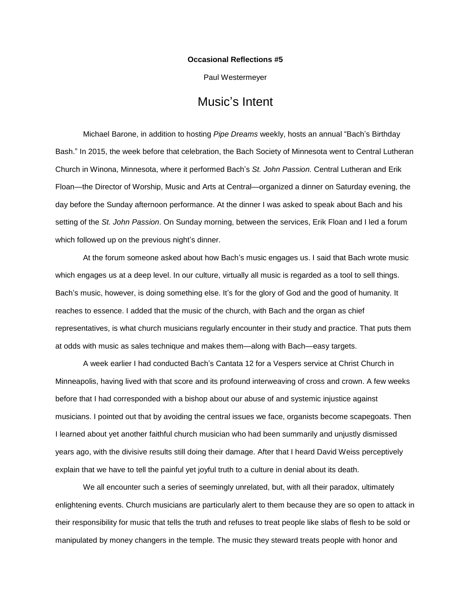## **Occasional Reflections #5**

Paul Westermeyer

## Music's Intent

Michael Barone, in addition to hosting *Pipe Dreams* weekly, hosts an annual "Bach's Birthday Bash." In 2015, the week before that celebration, the Bach Society of Minnesota went to Central Lutheran Church in Winona, Minnesota, where it performed Bach's *St. John Passion.* Central Lutheran and Erik Floan—the Director of Worship, Music and Arts at Central—organized a dinner on Saturday evening, the day before the Sunday afternoon performance. At the dinner I was asked to speak about Bach and his setting of the *St. John Passion*. On Sunday morning, between the services, Erik Floan and I led a forum which followed up on the previous night's dinner.

At the forum someone asked about how Bach's music engages us. I said that Bach wrote music which engages us at a deep level. In our culture, virtually all music is regarded as a tool to sell things. Bach's music, however, is doing something else. It's for the glory of God and the good of humanity. It reaches to essence. I added that the music of the church, with Bach and the organ as chief representatives, is what church musicians regularly encounter in their study and practice. That puts them at odds with music as sales technique and makes them—along with Bach—easy targets.

A week earlier I had conducted Bach's Cantata 12 for a Vespers service at Christ Church in Minneapolis, having lived with that score and its profound interweaving of cross and crown. A few weeks before that I had corresponded with a bishop about our abuse of and systemic injustice against musicians. I pointed out that by avoiding the central issues we face, organists become scapegoats. Then I learned about yet another faithful church musician who had been summarily and unjustly dismissed years ago, with the divisive results still doing their damage. After that I heard David Weiss perceptively explain that we have to tell the painful yet joyful truth to a culture in denial about its death.

We all encounter such a series of seemingly unrelated, but, with all their paradox, ultimately enlightening events. Church musicians are particularly alert to them because they are so open to attack in their responsibility for music that tells the truth and refuses to treat people like slabs of flesh to be sold or manipulated by money changers in the temple. The music they steward treats people with honor and